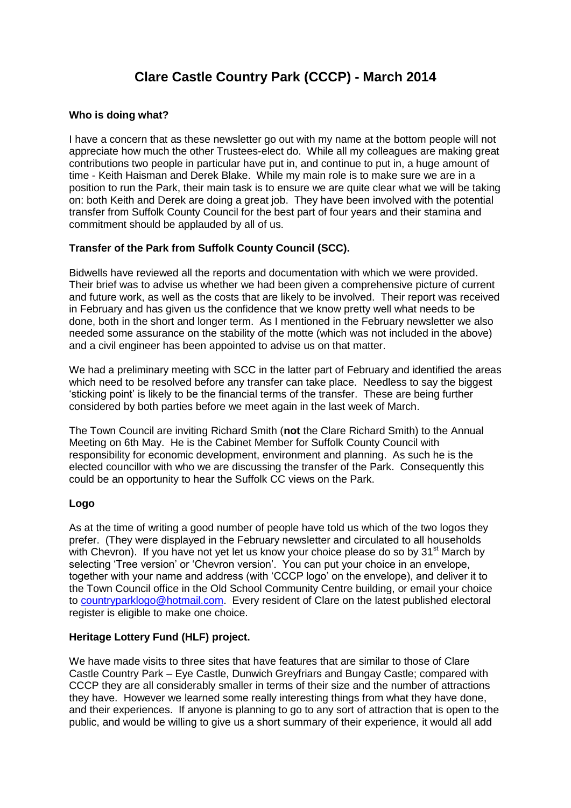# **Clare Castle Country Park (CCCP) - March 2014**

### **Who is doing what?**

I have a concern that as these newsletter go out with my name at the bottom people will not appreciate how much the other Trustees-elect do. While all my colleagues are making great contributions two people in particular have put in, and continue to put in, a huge amount of time - Keith Haisman and Derek Blake. While my main role is to make sure we are in a position to run the Park, their main task is to ensure we are quite clear what we will be taking on: both Keith and Derek are doing a great job. They have been involved with the potential transfer from Suffolk County Council for the best part of four years and their stamina and commitment should be applauded by all of us.

### **Transfer of the Park from Suffolk County Council (SCC).**

Bidwells have reviewed all the reports and documentation with which we were provided. Their brief was to advise us whether we had been given a comprehensive picture of current and future work, as well as the costs that are likely to be involved. Their report was received in February and has given us the confidence that we know pretty well what needs to be done, both in the short and longer term. As I mentioned in the February newsletter we also needed some assurance on the stability of the motte (which was not included in the above) and a civil engineer has been appointed to advise us on that matter.

We had a preliminary meeting with SCC in the latter part of February and identified the areas which need to be resolved before any transfer can take place. Needless to say the biggest 'sticking point' is likely to be the financial terms of the transfer. These are being further considered by both parties before we meet again in the last week of March.

The Town Council are inviting Richard Smith (**not** the Clare Richard Smith) to the Annual Meeting on 6th May. He is the Cabinet Member for Suffolk County Council with responsibility for economic development, environment and planning. As such he is the elected councillor with who we are discussing the transfer of the Park. Consequently this could be an opportunity to hear the Suffolk CC views on the Park.

### **Logo**

As at the time of writing a good number of people have told us which of the two logos they prefer. (They were displayed in the February newsletter and circulated to all households with Chevron). If you have not yet let us know your choice please do so by  $31<sup>st</sup>$  March by selecting 'Tree version' or 'Chevron version'. You can put your choice in an envelope, together with your name and address (with 'CCCP logo' on the envelope), and deliver it to the Town Council office in the Old School Community Centre building, or email your choice to [countryparklogo@hotmail.com.](mailto:countryparklogo@hotmail.com) Every resident of Clare on the latest published electoral register is eligible to make one choice.

### **Heritage Lottery Fund (HLF) project.**

We have made visits to three sites that have features that are similar to those of Clare Castle Country Park – Eye Castle, Dunwich Greyfriars and Bungay Castle; compared with CCCP they are all considerably smaller in terms of their size and the number of attractions they have. However we learned some really interesting things from what they have done, and their experiences. If anyone is planning to go to any sort of attraction that is open to the public, and would be willing to give us a short summary of their experience, it would all add